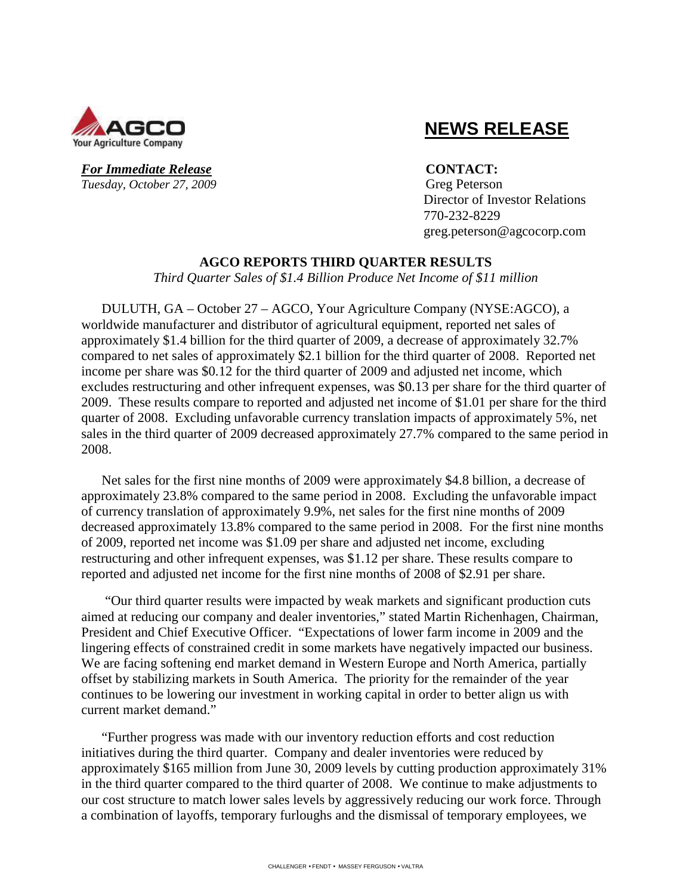

# **NEWS RELEASE**

*For Immediate Release* **CONTACT: Tuesday, October 27, 2009** Greg Peterson

 Director of Investor Relations 770-232-8229 greg.peterson@agcocorp.com

#### **AGCO REPORTS THIRD QUARTER RESULTS**

*Third Quarter Sales of \$1.4 Billion Produce Net Income of \$11 million* 

DULUTH, GA – October 27 – AGCO, Your Agriculture Company (NYSE:AGCO), a worldwide manufacturer and distributor of agricultural equipment, reported net sales of approximately \$1.4 billion for the third quarter of 2009, a decrease of approximately 32.7% compared to net sales of approximately \$2.1 billion for the third quarter of 2008. Reported net income per share was \$0.12 for the third quarter of 2009 and adjusted net income, which excludes restructuring and other infrequent expenses, was \$0.13 per share for the third quarter of 2009. These results compare to reported and adjusted net income of \$1.01 per share for the third quarter of 2008. Excluding unfavorable currency translation impacts of approximately 5%, net sales in the third quarter of 2009 decreased approximately 27.7% compared to the same period in 2008.

Net sales for the first nine months of 2009 were approximately \$4.8 billion, a decrease of approximately 23.8% compared to the same period in 2008. Excluding the unfavorable impact of currency translation of approximately 9.9%, net sales for the first nine months of 2009 decreased approximately 13.8% compared to the same period in 2008. For the first nine months of 2009, reported net income was \$1.09 per share and adjusted net income, excluding restructuring and other infrequent expenses, was \$1.12 per share. These results compare to reported and adjusted net income for the first nine months of 2008 of \$2.91 per share.

 "Our third quarter results were impacted by weak markets and significant production cuts aimed at reducing our company and dealer inventories," stated Martin Richenhagen, Chairman, President and Chief Executive Officer. "Expectations of lower farm income in 2009 and the lingering effects of constrained credit in some markets have negatively impacted our business. We are facing softening end market demand in Western Europe and North America, partially offset by stabilizing markets in South America. The priority for the remainder of the year continues to be lowering our investment in working capital in order to better align us with current market demand."

"Further progress was made with our inventory reduction efforts and cost reduction initiatives during the third quarter. Company and dealer inventories were reduced by approximately \$165 million from June 30, 2009 levels by cutting production approximately 31% in the third quarter compared to the third quarter of 2008. We continue to make adjustments to our cost structure to match lower sales levels by aggressively reducing our work force. Through a combination of layoffs, temporary furloughs and the dismissal of temporary employees, we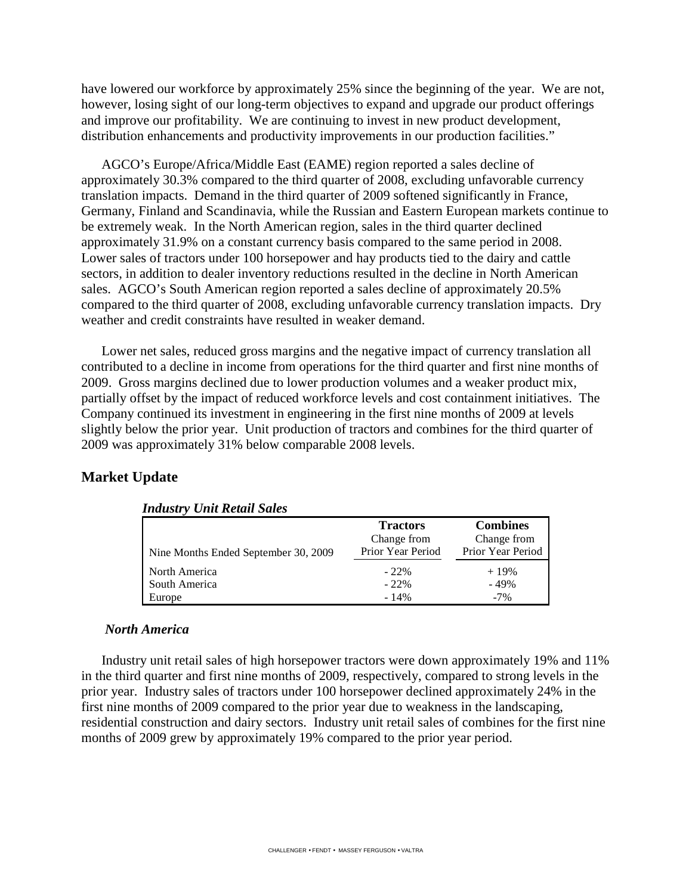have lowered our workforce by approximately 25% since the beginning of the year. We are not, however, losing sight of our long-term objectives to expand and upgrade our product offerings and improve our profitability. We are continuing to invest in new product development, distribution enhancements and productivity improvements in our production facilities."

AGCO's Europe/Africa/Middle East (EAME) region reported a sales decline of approximately 30.3% compared to the third quarter of 2008, excluding unfavorable currency translation impacts. Demand in the third quarter of 2009 softened significantly in France, Germany, Finland and Scandinavia, while the Russian and Eastern European markets continue to be extremely weak. In the North American region, sales in the third quarter declined approximately 31.9% on a constant currency basis compared to the same period in 2008. Lower sales of tractors under 100 horsepower and hay products tied to the dairy and cattle sectors, in addition to dealer inventory reductions resulted in the decline in North American sales. AGCO's South American region reported a sales decline of approximately 20.5% compared to the third quarter of 2008, excluding unfavorable currency translation impacts. Dry weather and credit constraints have resulted in weaker demand.

Lower net sales, reduced gross margins and the negative impact of currency translation all contributed to a decline in income from operations for the third quarter and first nine months of 2009. Gross margins declined due to lower production volumes and a weaker product mix, partially offset by the impact of reduced workforce levels and cost containment initiatives. The Company continued its investment in engineering in the first nine months of 2009 at levels slightly below the prior year. Unit production of tractors and combines for the third quarter of 2009 was approximately 31% below comparable 2008 levels.

# **Market Update**

| rnaast 7 Cha Rouan Sans              |                   |                   |
|--------------------------------------|-------------------|-------------------|
|                                      | <b>Tractors</b>   | <b>Combines</b>   |
|                                      | Change from       | Change from       |
| Nine Months Ended September 30, 2009 | Prior Year Period | Prior Year Period |
| North America                        | $-22\%$           | $+19%$            |
| South America                        | $-22\%$           | $-49%$            |
| Europe                               | $-14%$            | $-7\%$            |

### *Industry Unit Retail Sales*

#### *North America*

Industry unit retail sales of high horsepower tractors were down approximately 19% and 11% in the third quarter and first nine months of 2009, respectively, compared to strong levels in the prior year. Industry sales of tractors under 100 horsepower declined approximately 24% in the first nine months of 2009 compared to the prior year due to weakness in the landscaping, residential construction and dairy sectors. Industry unit retail sales of combines for the first nine months of 2009 grew by approximately 19% compared to the prior year period.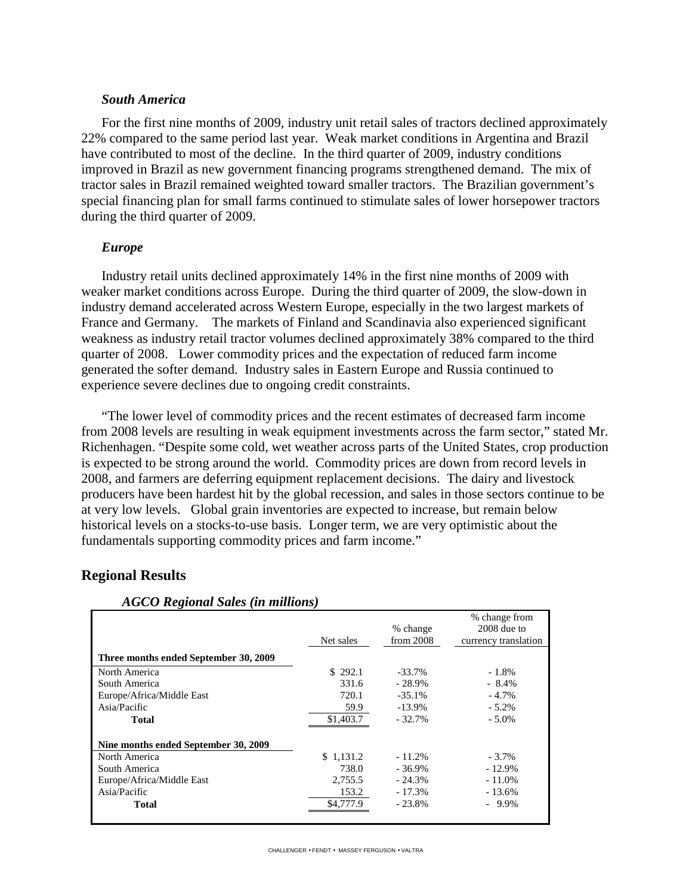#### *South America*

For the first nine months of 2009, industry unit retail sales of tractors declined approximately 22% compared to the same period last year. Weak market conditions in Argentina and Brazil have contributed to most of the decline. In the third quarter of 2009, industry conditions improved in Brazil as new government financing programs strengthened demand. The mix of tractor sales in Brazil remained weighted toward smaller tractors. The Brazilian government's special financing plan for small farms continued to stimulate sales of lower horsepower tractors during the third quarter of 2009.

#### *Europe*

Industry retail units declined approximately 14% in the first nine months of 2009 with weaker market conditions across Europe. During the third quarter of 2009, the slow-down in industry demand accelerated across Western Europe, especially in the two largest markets of France and Germany. The markets of Finland and Scandinavia also experienced significant weakness as industry retail tractor volumes declined approximately 38% compared to the third quarter of 2008. Lower commodity prices and the expectation of reduced farm income generated the softer demand. Industry sales in Eastern Europe and Russia continued to experience severe declines due to ongoing credit constraints.

"The lower level of commodity prices and the recent estimates of decreased farm income from 2008 levels are resulting in weak equipment investments across the farm sector," stated Mr. Richenhagen. "Despite some cold, wet weather across parts of the United States, crop production is expected to be strong around the world. Commodity prices are down from record levels in 2008, and farmers are deferring equipment replacement decisions. The dairy and livestock producers have been hardest hit by the global recession, and sales in those sectors continue to be at very low levels. Global grain inventories are expected to increase, but remain below historical levels on a stocks-to-use basis. Longer term, we are very optimistic about the fundamentals supporting commodity prices and farm income."

### **Regional Results**

|                                       |           |           | % change from        |
|---------------------------------------|-----------|-----------|----------------------|
|                                       |           | % change  | $2008$ due to        |
|                                       | Net sales | from 2008 | currency translation |
| Three months ended September 30, 2009 |           |           |                      |
| North America                         | \$292.1   | $-33.7\%$ | $-1.8\%$             |
| South America                         | 331.6     | $-28.9\%$ | $-8.4\%$             |
| Europe/Africa/Middle East             | 720.1     | $-35.1%$  | $-4.7%$              |
| Asia/Pacific                          | 59.9      | $-13.9\%$ | $-5.2\%$             |
| <b>Total</b>                          | \$1,403.7 | $-32.7%$  | $-5.0\%$             |
| Nine months ended September 30, 2009  |           |           |                      |
| North America                         | \$1,131.2 | $-11.2%$  | $-3.7\%$             |
| South America                         | 738.0     | $-36.9%$  | $-12.9%$             |
| Europe/Africa/Middle East             | 2,755.5   | $-24.3%$  | $-11.0\%$            |
| Asia/Pacific                          | 153.2     | $-17.3\%$ | $-13.6\%$            |
| <b>Total</b>                          | \$4,777.9 | $-23.8%$  | $-9.9\%$             |
|                                       |           |           |                      |

 *AGCO Regional Sales (in millions)*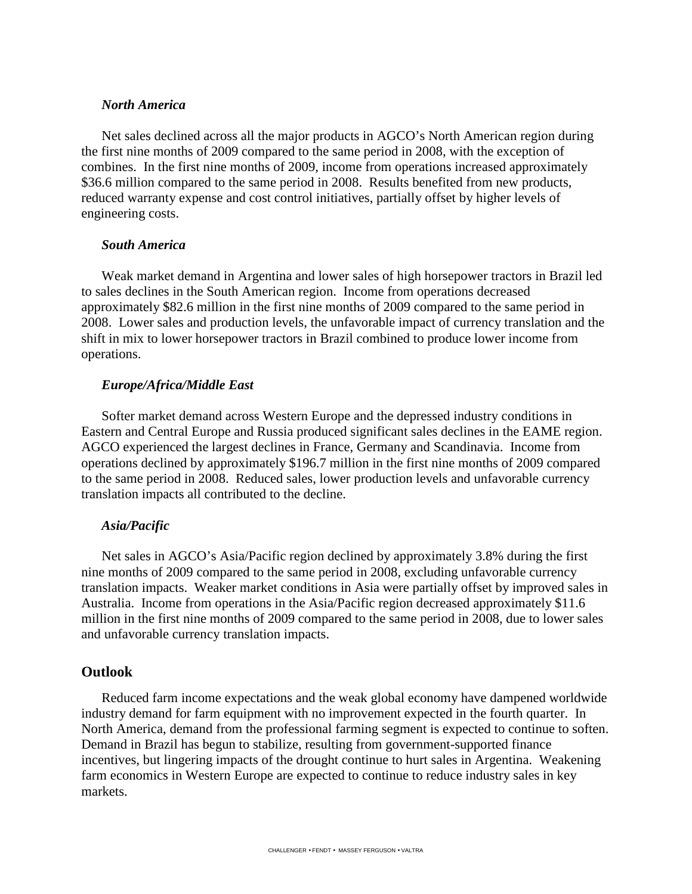#### *North America*

Net sales declined across all the major products in AGCO's North American region during the first nine months of 2009 compared to the same period in 2008, with the exception of combines. In the first nine months of 2009, income from operations increased approximately \$36.6 million compared to the same period in 2008. Results benefited from new products, reduced warranty expense and cost control initiatives, partially offset by higher levels of engineering costs.

#### *South America*

Weak market demand in Argentina and lower sales of high horsepower tractors in Brazil led to sales declines in the South American region. Income from operations decreased approximately \$82.6 million in the first nine months of 2009 compared to the same period in 2008. Lower sales and production levels, the unfavorable impact of currency translation and the shift in mix to lower horsepower tractors in Brazil combined to produce lower income from operations.

#### *Europe/Africa/Middle East*

Softer market demand across Western Europe and the depressed industry conditions in Eastern and Central Europe and Russia produced significant sales declines in the EAME region. AGCO experienced the largest declines in France, Germany and Scandinavia. Income from operations declined by approximately \$196.7 million in the first nine months of 2009 compared to the same period in 2008. Reduced sales, lower production levels and unfavorable currency translation impacts all contributed to the decline.

#### *Asia/Pacific*

Net sales in AGCO's Asia/Pacific region declined by approximately 3.8% during the first nine months of 2009 compared to the same period in 2008, excluding unfavorable currency translation impacts. Weaker market conditions in Asia were partially offset by improved sales in Australia. Income from operations in the Asia/Pacific region decreased approximately \$11.6 million in the first nine months of 2009 compared to the same period in 2008, due to lower sales and unfavorable currency translation impacts.

#### **Outlook**

Reduced farm income expectations and the weak global economy have dampened worldwide industry demand for farm equipment with no improvement expected in the fourth quarter. In North America, demand from the professional farming segment is expected to continue to soften. Demand in Brazil has begun to stabilize, resulting from government-supported finance incentives, but lingering impacts of the drought continue to hurt sales in Argentina. Weakening farm economics in Western Europe are expected to continue to reduce industry sales in key markets.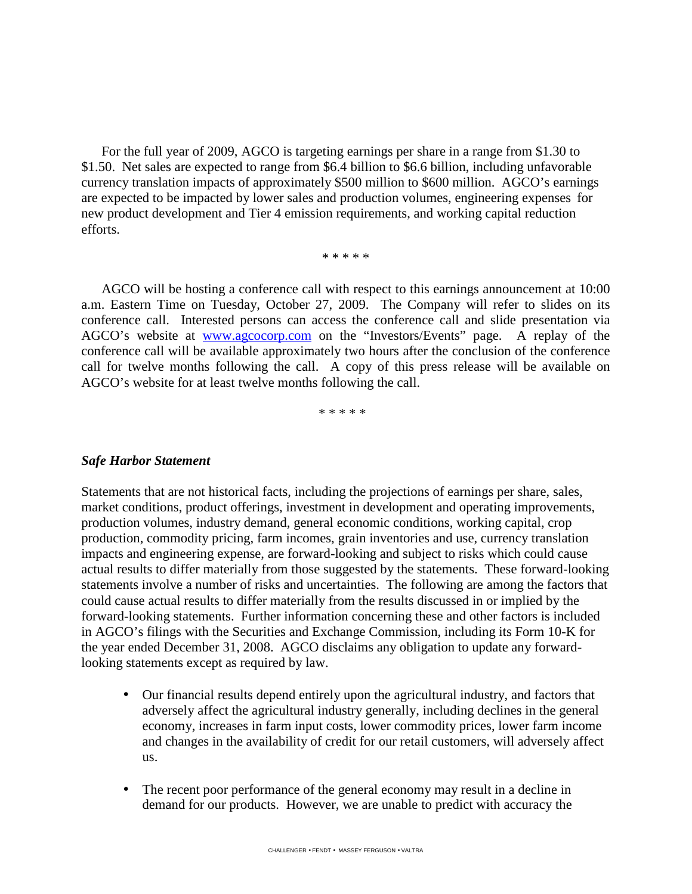For the full year of 2009, AGCO is targeting earnings per share in a range from \$1.30 to \$1.50. Net sales are expected to range from \$6.4 billion to \$6.6 billion, including unfavorable currency translation impacts of approximately \$500 million to \$600 million. AGCO's earnings are expected to be impacted by lower sales and production volumes, engineering expenses for new product development and Tier 4 emission requirements, and working capital reduction efforts.

\* \* \* \* \*

AGCO will be hosting a conference call with respect to this earnings announcement at 10:00 a.m. Eastern Time on Tuesday, October 27, 2009. The Company will refer to slides on its conference call. Interested persons can access the conference call and slide presentation via AGCO's website at www.agcocorp.com on the "Investors/Events" page. A replay of the conference call will be available approximately two hours after the conclusion of the conference call for twelve months following the call. A copy of this press release will be available on AGCO's website for at least twelve months following the call.

\* \* \* \* \*

#### *Safe Harbor Statement*

Statements that are not historical facts, including the projections of earnings per share, sales, market conditions, product offerings, investment in development and operating improvements, production volumes, industry demand, general economic conditions, working capital, crop production, commodity pricing, farm incomes, grain inventories and use, currency translation impacts and engineering expense, are forward-looking and subject to risks which could cause actual results to differ materially from those suggested by the statements. These forward-looking statements involve a number of risks and uncertainties. The following are among the factors that could cause actual results to differ materially from the results discussed in or implied by the forward-looking statements. Further information concerning these and other factors is included in AGCO's filings with the Securities and Exchange Commission, including its Form 10-K for the year ended December 31, 2008. AGCO disclaims any obligation to update any forwardlooking statements except as required by law.

- Our financial results depend entirely upon the agricultural industry, and factors that adversely affect the agricultural industry generally, including declines in the general economy, increases in farm input costs, lower commodity prices, lower farm income and changes in the availability of credit for our retail customers, will adversely affect us.
- The recent poor performance of the general economy may result in a decline in demand for our products. However, we are unable to predict with accuracy the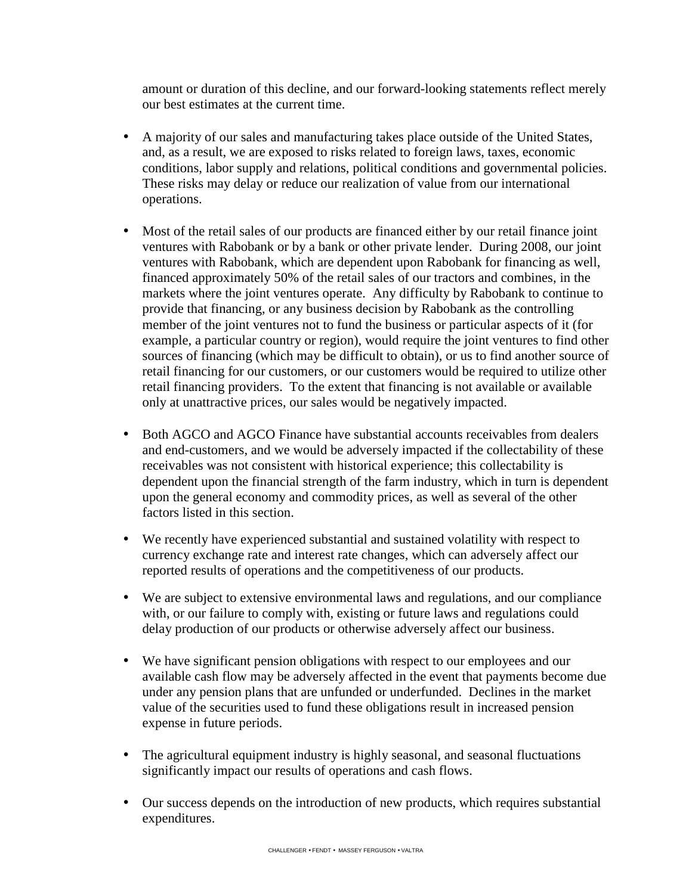amount or duration of this decline, and our forward-looking statements reflect merely our best estimates at the current time.

- A majority of our sales and manufacturing takes place outside of the United States, and, as a result, we are exposed to risks related to foreign laws, taxes, economic conditions, labor supply and relations, political conditions and governmental policies. These risks may delay or reduce our realization of value from our international operations.
- Most of the retail sales of our products are financed either by our retail finance joint ventures with Rabobank or by a bank or other private lender. During 2008, our joint ventures with Rabobank, which are dependent upon Rabobank for financing as well, financed approximately 50% of the retail sales of our tractors and combines, in the markets where the joint ventures operate. Any difficulty by Rabobank to continue to provide that financing, or any business decision by Rabobank as the controlling member of the joint ventures not to fund the business or particular aspects of it (for example, a particular country or region), would require the joint ventures to find other sources of financing (which may be difficult to obtain), or us to find another source of retail financing for our customers, or our customers would be required to utilize other retail financing providers. To the extent that financing is not available or available only at unattractive prices, our sales would be negatively impacted.
- Both AGCO and AGCO Finance have substantial accounts receivables from dealers and end-customers, and we would be adversely impacted if the collectability of these receivables was not consistent with historical experience; this collectability is dependent upon the financial strength of the farm industry, which in turn is dependent upon the general economy and commodity prices, as well as several of the other factors listed in this section.
- We recently have experienced substantial and sustained volatility with respect to currency exchange rate and interest rate changes, which can adversely affect our reported results of operations and the competitiveness of our products.
- We are subject to extensive environmental laws and regulations, and our compliance with, or our failure to comply with, existing or future laws and regulations could delay production of our products or otherwise adversely affect our business.
- We have significant pension obligations with respect to our employees and our available cash flow may be adversely affected in the event that payments become due under any pension plans that are unfunded or underfunded. Declines in the market value of the securities used to fund these obligations result in increased pension expense in future periods.
- The agricultural equipment industry is highly seasonal, and seasonal fluctuations significantly impact our results of operations and cash flows.
- Our success depends on the introduction of new products, which requires substantial expenditures.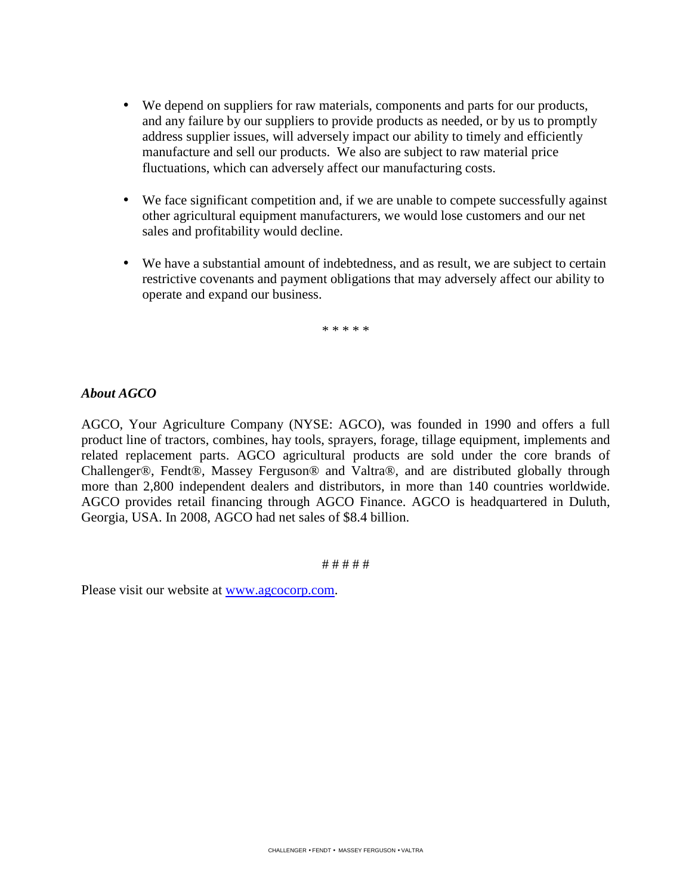- We depend on suppliers for raw materials, components and parts for our products, and any failure by our suppliers to provide products as needed, or by us to promptly address supplier issues, will adversely impact our ability to timely and efficiently manufacture and sell our products. We also are subject to raw material price fluctuations, which can adversely affect our manufacturing costs.
- We face significant competition and, if we are unable to compete successfully against other agricultural equipment manufacturers, we would lose customers and our net sales and profitability would decline.
- We have a substantial amount of indebtedness, and as result, we are subject to certain restrictive covenants and payment obligations that may adversely affect our ability to operate and expand our business.

\* \* \* \* \*

### *About AGCO*

AGCO, Your Agriculture Company (NYSE: AGCO), was founded in 1990 and offers a full product line of tractors, combines, hay tools, sprayers, forage, tillage equipment, implements and related replacement parts. AGCO agricultural products are sold under the core brands of Challenger®, Fendt®, Massey Ferguson® and Valtra®, and are distributed globally through more than 2,800 independent dealers and distributors, in more than 140 countries worldwide. AGCO provides retail financing through AGCO Finance. AGCO is headquartered in Duluth, Georgia, USA. In 2008, AGCO had net sales of \$8.4 billion.

# # # # #

Please visit our website at www.agcocorp.com.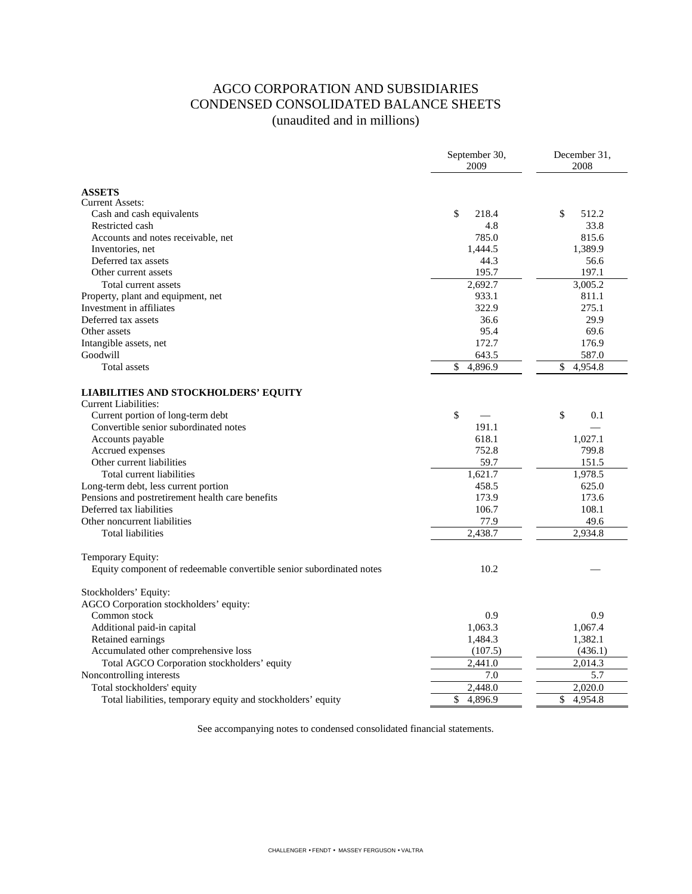# AGCO CORPORATION AND SUBSIDIARIES CONDENSED CONSOLIDATED BALANCE SHEETS (unaudited and in millions)

|                                                                      | September 30,<br>2009 | December 31,<br>2008 |  |  |
|----------------------------------------------------------------------|-----------------------|----------------------|--|--|
| <b>ASSETS</b>                                                        |                       |                      |  |  |
| <b>Current Assets:</b>                                               |                       |                      |  |  |
| Cash and cash equivalents                                            | \$<br>218.4           | \$<br>512.2          |  |  |
| Restricted cash                                                      | 4.8                   | 33.8                 |  |  |
| Accounts and notes receivable, net                                   | 785.0                 | 815.6                |  |  |
| Inventories, net                                                     | 1,444.5               | 1,389.9              |  |  |
| Deferred tax assets                                                  | 44.3                  | 56.6                 |  |  |
| Other current assets                                                 | 195.7                 | 197.1                |  |  |
| Total current assets                                                 | 2,692.7               | 3,005.2              |  |  |
| Property, plant and equipment, net                                   | 933.1                 | 811.1                |  |  |
| Investment in affiliates                                             | 322.9                 | 275.1                |  |  |
| Deferred tax assets                                                  | 36.6                  | 29.9                 |  |  |
| Other assets                                                         | 95.4                  | 69.6                 |  |  |
| Intangible assets, net                                               | 172.7                 | 176.9                |  |  |
| Goodwill                                                             | 643.5                 | 587.0                |  |  |
| Total assets                                                         | \$<br>4,896.9         | \$<br>4,954.8        |  |  |
| <b>LIABILITIES AND STOCKHOLDERS' EQUITY</b><br>Current Liabilities:  |                       |                      |  |  |
| Current portion of long-term debt                                    | \$                    | \$<br>0.1            |  |  |
| Convertible senior subordinated notes                                | 191.1                 |                      |  |  |
| Accounts payable                                                     | 618.1                 | 1,027.1              |  |  |
| Accrued expenses                                                     | 752.8                 | 799.8                |  |  |
| Other current liabilities                                            | 59.7                  | 151.5                |  |  |
| Total current liabilities                                            | 1,621.7               | 1,978.5              |  |  |
| Long-term debt, less current portion                                 | 458.5                 | 625.0                |  |  |
| Pensions and postretirement health care benefits                     | 173.9                 | 173.6                |  |  |
| Deferred tax liabilities                                             | 106.7                 | 108.1                |  |  |
| Other noncurrent liabilities                                         | 77.9                  | 49.6                 |  |  |
| <b>Total liabilities</b>                                             | 2,438.7               | 2,934.8              |  |  |
| Temporary Equity:                                                    |                       |                      |  |  |
| Equity component of redeemable convertible senior subordinated notes | 10.2                  |                      |  |  |
| Stockholders' Equity:                                                |                       |                      |  |  |
| AGCO Corporation stockholders' equity:                               |                       |                      |  |  |
| Common stock                                                         | 0.9                   | 0.9                  |  |  |
| Additional paid-in capital                                           | 1,063.3               | 1,067.4              |  |  |
| Retained earnings                                                    | 1,484.3               | 1,382.1              |  |  |
| Accumulated other comprehensive loss                                 | (107.5)               | (436.1)              |  |  |
| Total AGCO Corporation stockholders' equity                          | 2,441.0               | 2,014.3              |  |  |
| Noncontrolling interests                                             | 7.0                   | 5.7                  |  |  |
| Total stockholders' equity                                           | 2,448.0               | 2,020.0              |  |  |
| Total liabilities, temporary equity and stockholders' equity         | \$<br>4,896.9         | \$<br>4,954.8        |  |  |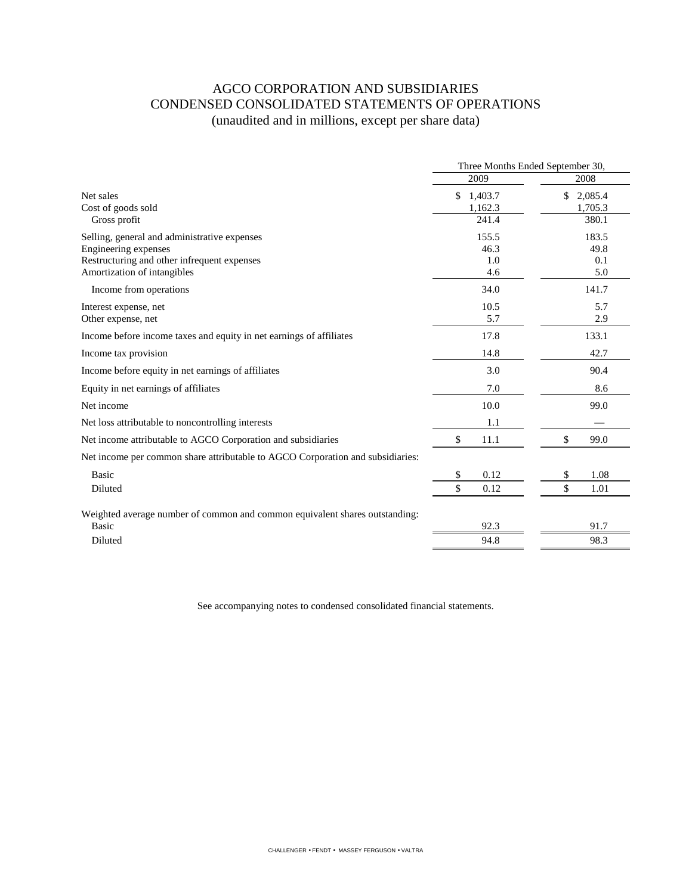# AGCO CORPORATION AND SUBSIDIARIES CONDENSED CONSOLIDATED STATEMENTS OF OPERATIONS (unaudited and in millions, except per share data)

|                                                                                                                                                    | Three Months Ended September 30,  |                                   |  |
|----------------------------------------------------------------------------------------------------------------------------------------------------|-----------------------------------|-----------------------------------|--|
|                                                                                                                                                    | 2009                              | 2008                              |  |
| Net sales<br>Cost of goods sold<br>Gross profit                                                                                                    | \$<br>1,403.7<br>1,162.3<br>241.4 | \$<br>2,085.4<br>1,705.3<br>380.1 |  |
| Selling, general and administrative expenses<br>Engineering expenses<br>Restructuring and other infrequent expenses<br>Amortization of intangibles | 155.5<br>46.3<br>1.0<br>4.6       | 183.5<br>49.8<br>0.1<br>5.0       |  |
| Income from operations                                                                                                                             | 34.0                              | 141.7                             |  |
| Interest expense, net<br>Other expense, net                                                                                                        | 10.5<br>5.7                       | 5.7<br>2.9                        |  |
| Income before income taxes and equity in net earnings of affiliates                                                                                | 17.8                              | 133.1                             |  |
| Income tax provision                                                                                                                               | 14.8                              | 42.7                              |  |
| Income before equity in net earnings of affiliates                                                                                                 | 3.0                               | 90.4                              |  |
| Equity in net earnings of affiliates                                                                                                               | 7.0                               | 8.6                               |  |
| Net income                                                                                                                                         | 10.0                              | 99.0                              |  |
| Net loss attributable to noncontrolling interests                                                                                                  | 1.1                               |                                   |  |
| Net income attributable to AGCO Corporation and subsidiaries                                                                                       | \$<br>11.1                        | \$<br>99.0                        |  |
| Net income per common share attributable to AGCO Corporation and subsidiaries:                                                                     |                                   |                                   |  |
| Basic<br>Diluted                                                                                                                                   | \$<br>0.12<br>\$<br>0.12          | \$<br>1.08<br>\$<br>1.01          |  |
| Weighted average number of common and common equivalent shares outstanding:<br>Basic<br>Diluted                                                    | 92.3<br>94.8                      | 91.7<br>98.3                      |  |
|                                                                                                                                                    |                                   |                                   |  |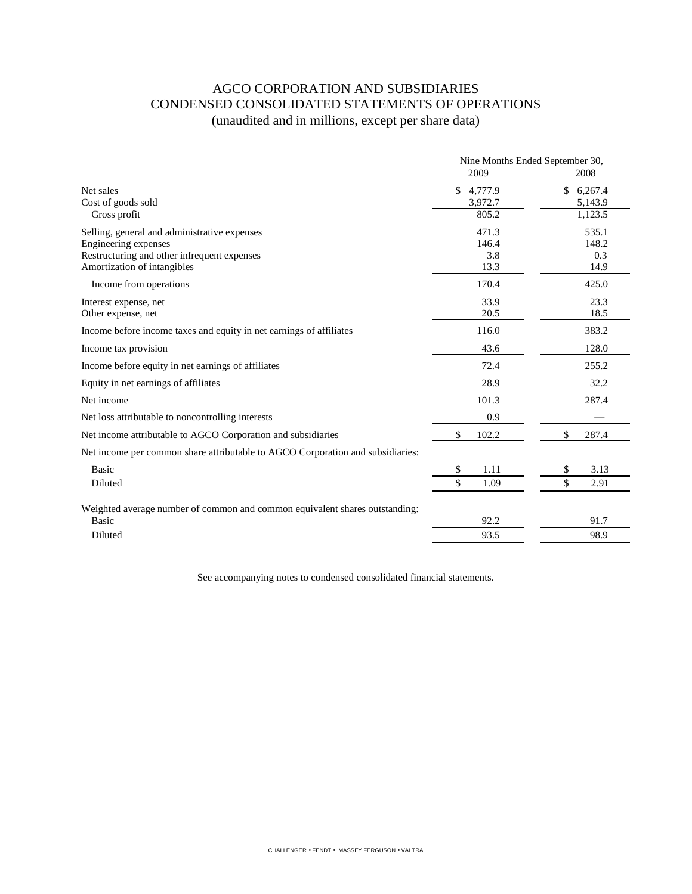# AGCO CORPORATION AND SUBSIDIARIES CONDENSED CONSOLIDATED STATEMENTS OF OPERATIONS (unaudited and in millions, except per share data)

|                                                                                | Nine Months Ended September 30, |                          |  |
|--------------------------------------------------------------------------------|---------------------------------|--------------------------|--|
|                                                                                | 2009                            | 2008                     |  |
| Net sales<br>Cost of goods sold                                                | \$4,777.9<br>3,972.7            | \$<br>6,267.4<br>5,143.9 |  |
| Gross profit                                                                   | 805.2                           | 1,123.5                  |  |
| Selling, general and administrative expenses                                   | 471.3                           | 535.1                    |  |
| Engineering expenses                                                           | 146.4                           | 148.2                    |  |
| Restructuring and other infrequent expenses                                    | 3.8                             | 0.3                      |  |
| Amortization of intangibles                                                    | 13.3                            | 14.9                     |  |
| Income from operations                                                         | 170.4                           | 425.0                    |  |
| Interest expense, net                                                          | 33.9                            | 23.3                     |  |
| Other expense, net                                                             | 20.5                            | 18.5                     |  |
| Income before income taxes and equity in net earnings of affiliates            | 116.0                           | 383.2                    |  |
| Income tax provision                                                           | 43.6                            | 128.0                    |  |
| Income before equity in net earnings of affiliates                             | 72.4                            | 255.2                    |  |
| Equity in net earnings of affiliates                                           | 28.9                            | 32.2                     |  |
| Net income                                                                     | 101.3                           | 287.4                    |  |
| Net loss attributable to noncontrolling interests                              | 0.9                             |                          |  |
| Net income attributable to AGCO Corporation and subsidiaries                   | \$<br>102.2                     | \$<br>287.4              |  |
| Net income per common share attributable to AGCO Corporation and subsidiaries: |                                 |                          |  |
| Basic                                                                          | \$<br>1.11                      | \$<br>3.13               |  |
| Diluted                                                                        | \$<br>1.09                      | \$<br>2.91               |  |
| Weighted average number of common and common equivalent shares outstanding:    |                                 |                          |  |
| Basic                                                                          | 92.2                            | 91.7                     |  |
| Diluted                                                                        | 93.5                            | 98.9                     |  |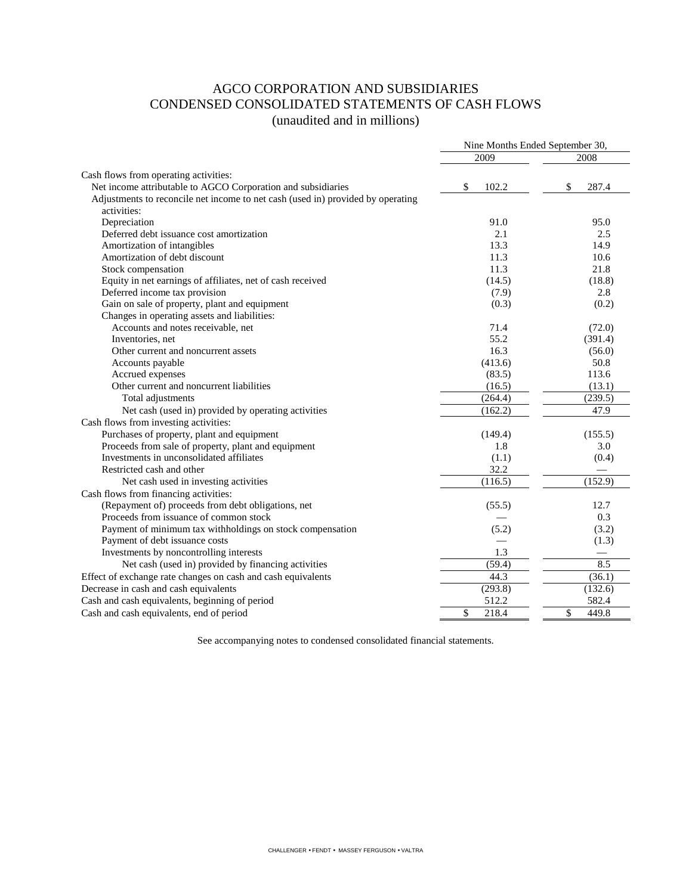# AGCO CORPORATION AND SUBSIDIARIES CONDENSED CONSOLIDATED STATEMENTS OF CASH FLOWS (unaudited and in millions)

|                                                                                 | Nine Months Ended September 30, |             |  |
|---------------------------------------------------------------------------------|---------------------------------|-------------|--|
|                                                                                 | 2009                            | 2008        |  |
| Cash flows from operating activities:                                           |                                 |             |  |
| Net income attributable to AGCO Corporation and subsidiaries                    | \$<br>102.2                     | \$<br>287.4 |  |
| Adjustments to reconcile net income to net cash (used in) provided by operating |                                 |             |  |
| activities:                                                                     |                                 |             |  |
| Depreciation                                                                    | 91.0                            | 95.0        |  |
| Deferred debt issuance cost amortization                                        | 2.1                             | 2.5         |  |
| Amortization of intangibles                                                     | 13.3                            | 14.9        |  |
| Amortization of debt discount                                                   | 11.3                            | 10.6        |  |
| Stock compensation                                                              | 11.3                            | 21.8        |  |
| Equity in net earnings of affiliates, net of cash received                      | (14.5)                          | (18.8)      |  |
| Deferred income tax provision                                                   | (7.9)                           | 2.8         |  |
| Gain on sale of property, plant and equipment                                   | (0.3)                           | (0.2)       |  |
| Changes in operating assets and liabilities:                                    |                                 |             |  |
| Accounts and notes receivable, net                                              | 71.4                            | (72.0)      |  |
| Inventories, net                                                                | 55.2                            | (391.4)     |  |
| Other current and noncurrent assets                                             | 16.3                            | (56.0)      |  |
| Accounts payable                                                                | (413.6)                         | 50.8        |  |
| Accrued expenses                                                                | (83.5)                          | 113.6       |  |
| Other current and noncurrent liabilities                                        | (16.5)                          | (13.1)      |  |
| Total adjustments                                                               | (264.4)                         | (239.5)     |  |
| Net cash (used in) provided by operating activities                             | (162.2)                         | 47.9        |  |
| Cash flows from investing activities:                                           |                                 |             |  |
| Purchases of property, plant and equipment                                      | (149.4)                         | (155.5)     |  |
| Proceeds from sale of property, plant and equipment                             | 1.8                             | 3.0         |  |
| Investments in unconsolidated affiliates                                        | (1.1)                           | (0.4)       |  |
| Restricted cash and other                                                       | 32.2                            |             |  |
| Net cash used in investing activities                                           | (116.5)                         | (152.9)     |  |
| Cash flows from financing activities:                                           |                                 |             |  |
| (Repayment of) proceeds from debt obligations, net                              | (55.5)                          | 12.7        |  |
| Proceeds from issuance of common stock                                          |                                 | 0.3         |  |
| Payment of minimum tax withholdings on stock compensation                       | (5.2)                           | (3.2)       |  |
| Payment of debt issuance costs                                                  |                                 | (1.3)       |  |
| Investments by noncontrolling interests                                         | 1.3                             |             |  |
| Net cash (used in) provided by financing activities                             | (59.4)                          | 8.5         |  |
| Effect of exchange rate changes on cash and cash equivalents                    | 44.3                            | (36.1)      |  |
| Decrease in cash and cash equivalents                                           | (293.8)                         | (132.6)     |  |
| Cash and cash equivalents, beginning of period                                  | 512.2                           | 582.4       |  |
| Cash and cash equivalents, end of period                                        | \$<br>218.4                     | \$<br>449.8 |  |
|                                                                                 |                                 |             |  |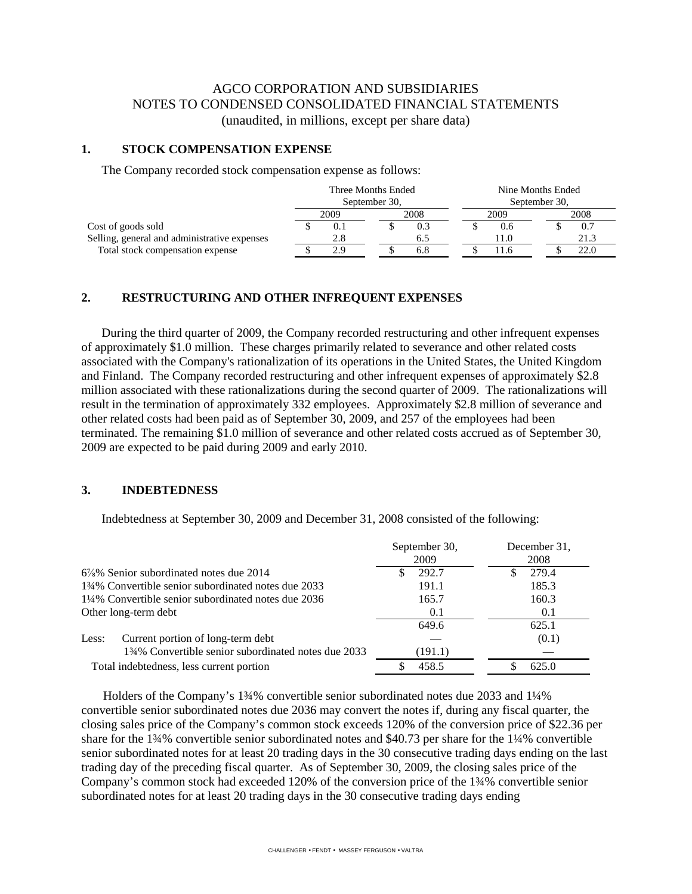# AGCO CORPORATION AND SUBSIDIARIES NOTES TO CONDENSED CONSOLIDATED FINANCIAL STATEMENTS (unaudited, in millions, except per share data)

#### **1. STOCK COMPENSATION EXPENSE**

The Company recorded stock compensation expense as follows:

|                                              | Three Months Ended |     |      |               | Nine Months Ended |      |  |      |
|----------------------------------------------|--------------------|-----|------|---------------|-------------------|------|--|------|
|                                              | September 30,      |     |      | September 30, |                   |      |  |      |
|                                              | 2008<br>2009       |     | 2009 |               |                   | 2008 |  |      |
| Cost of goods sold                           |                    | 0.1 |      |               |                   | 0.6  |  | 0.7  |
| Selling, general and administrative expenses |                    | 2.8 |      |               |                   | 11.0 |  | 21.3 |
| Total stock compensation expense             |                    | 2.9 |      | 6.8           |                   | 1.6  |  | 22.0 |

#### **2. RESTRUCTURING AND OTHER INFREQUENT EXPENSES**

During the third quarter of 2009, the Company recorded restructuring and other infrequent expenses of approximately \$1.0 million. These charges primarily related to severance and other related costs associated with the Company's rationalization of its operations in the United States, the United Kingdom and Finland. The Company recorded restructuring and other infrequent expenses of approximately \$2.8 million associated with these rationalizations during the second quarter of 2009. The rationalizations will result in the termination of approximately 332 employees. Approximately \$2.8 million of severance and other related costs had been paid as of September 30, 2009, and 257 of the employees had been terminated. The remaining \$1.0 million of severance and other related costs accrued as of September 30, 2009 are expected to be paid during 2009 and early 2010.

#### **3. INDEBTEDNESS**

Indebtedness at September 30, 2009 and December 31, 2008 consisted of the following:

|                                                     | September 30,<br>2009 | December 31,<br>2008 |
|-----------------------------------------------------|-----------------------|----------------------|
| $6\frac{7}{8}\%$ Senior subordinated notes due 2014 | 292.7                 | 279.4                |
| 134% Convertible senior subordinated notes due 2033 | 191.1                 | 185.3                |
| 1¼% Convertible senior subordinated notes due 2036  | 165.7                 | 160.3                |
| Other long-term debt                                | 0.1                   | 0.1                  |
|                                                     | 649.6                 | 625.1                |
| Current portion of long-term debt<br>Less:          |                       | (0.1)                |
| 134% Convertible senior subordinated notes due 2033 | (191.1)               |                      |
| Total indebtedness, less current portion            | 458.5                 | 625.0                |

 Holders of the Company's 1¾% convertible senior subordinated notes due 2033 and 1¼% convertible senior subordinated notes due 2036 may convert the notes if, during any fiscal quarter, the closing sales price of the Company's common stock exceeds 120% of the conversion price of \$22.36 per share for the 1¾% convertible senior subordinated notes and \$40.73 per share for the 1¼% convertible senior subordinated notes for at least 20 trading days in the 30 consecutive trading days ending on the last trading day of the preceding fiscal quarter. As of September 30, 2009, the closing sales price of the Company's common stock had exceeded 120% of the conversion price of the 1¾% convertible senior subordinated notes for at least 20 trading days in the 30 consecutive trading days ending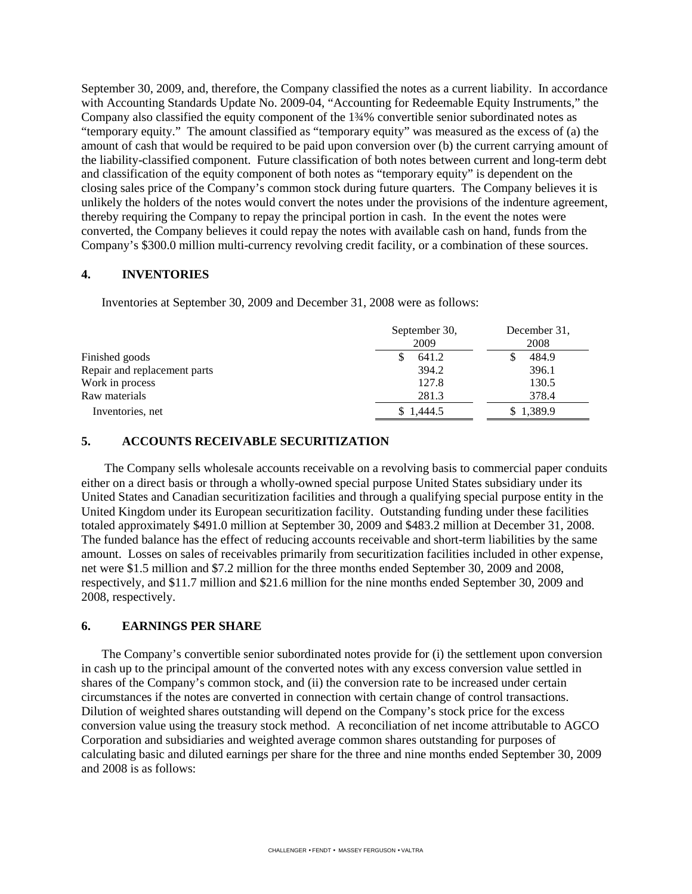September 30, 2009, and, therefore, the Company classified the notes as a current liability. In accordance with Accounting Standards Update No. 2009-04, "Accounting for Redeemable Equity Instruments," the Company also classified the equity component of the 1¾% convertible senior subordinated notes as "temporary equity." The amount classified as "temporary equity" was measured as the excess of (a) the amount of cash that would be required to be paid upon conversion over (b) the current carrying amount of the liability-classified component. Future classification of both notes between current and long-term debt and classification of the equity component of both notes as "temporary equity" is dependent on the closing sales price of the Company's common stock during future quarters. The Company believes it is unlikely the holders of the notes would convert the notes under the provisions of the indenture agreement, thereby requiring the Company to repay the principal portion in cash. In the event the notes were converted, the Company believes it could repay the notes with available cash on hand, funds from the Company's \$300.0 million multi-currency revolving credit facility, or a combination of these sources.

#### **4. INVENTORIES**

Inventories at September 30, 2009 and December 31, 2008 were as follows:

|                              | September 30,<br>2009 | December 31.<br>2008 |
|------------------------------|-----------------------|----------------------|
| Finished goods               | 641.2                 | 484.9                |
| Repair and replacement parts | 394.2                 | 396.1                |
| Work in process              | 127.8                 | 130.5                |
| Raw materials                | 281.3                 | 378.4                |
| Inventories, net             | \$1,444.5             | \$1,389.9            |

# **5. ACCOUNTS RECEIVABLE SECURITIZATION**

The Company sells wholesale accounts receivable on a revolving basis to commercial paper conduits either on a direct basis or through a wholly-owned special purpose United States subsidiary under its United States and Canadian securitization facilities and through a qualifying special purpose entity in the United Kingdom under its European securitization facility. Outstanding funding under these facilities totaled approximately \$491.0 million at September 30, 2009 and \$483.2 million at December 31, 2008. The funded balance has the effect of reducing accounts receivable and short-term liabilities by the same amount. Losses on sales of receivables primarily from securitization facilities included in other expense, net were \$1.5 million and \$7.2 million for the three months ended September 30, 2009 and 2008, respectively, and \$11.7 million and \$21.6 million for the nine months ended September 30, 2009 and 2008, respectively.

#### **6. EARNINGS PER SHARE**

The Company's convertible senior subordinated notes provide for (i) the settlement upon conversion in cash up to the principal amount of the converted notes with any excess conversion value settled in shares of the Company's common stock, and (ii) the conversion rate to be increased under certain circumstances if the notes are converted in connection with certain change of control transactions. Dilution of weighted shares outstanding will depend on the Company's stock price for the excess conversion value using the treasury stock method. A reconciliation of net income attributable to AGCO Corporation and subsidiaries and weighted average common shares outstanding for purposes of calculating basic and diluted earnings per share for the three and nine months ended September 30, 2009 and 2008 is as follows: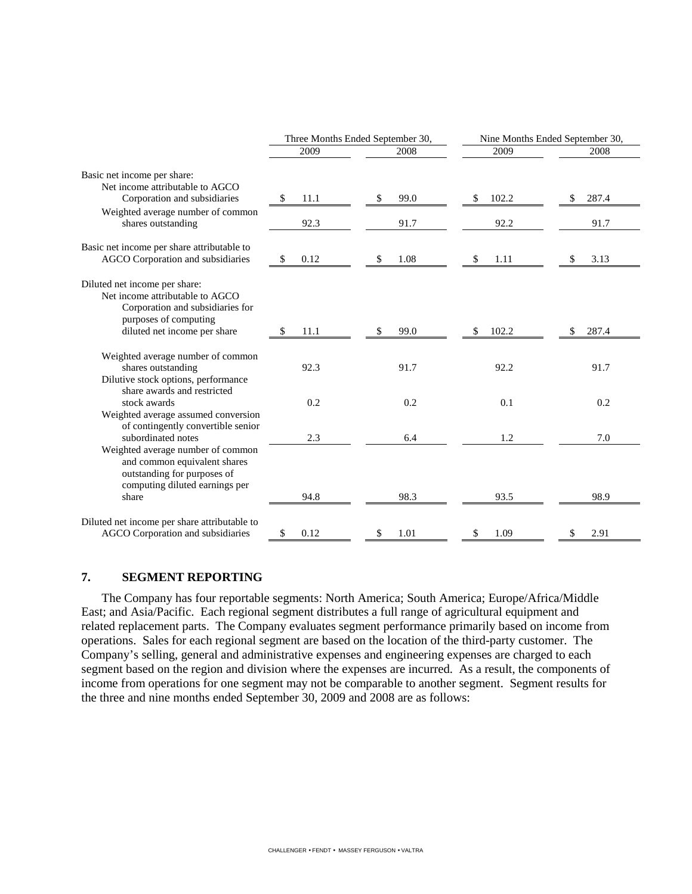|                                                                                                                                                               | Three Months Ended September 30, |            | Nine Months Ended September 30, |             |  |  |
|---------------------------------------------------------------------------------------------------------------------------------------------------------------|----------------------------------|------------|---------------------------------|-------------|--|--|
|                                                                                                                                                               | 2009                             | 2008       | 2009                            | 2008        |  |  |
| Basic net income per share:<br>Net income attributable to AGCO<br>Corporation and subsidiaries<br>Weighted average number of common                           | \$<br>11.1                       | 99.0<br>\$ | 102.2<br>\$                     | \$<br>287.4 |  |  |
| shares outstanding                                                                                                                                            | 92.3                             | 91.7       | 92.2                            | 91.7        |  |  |
| Basic net income per share attributable to<br>AGCO Corporation and subsidiaries                                                                               | 0.12<br>S                        | 1.08<br>\$ | 1.11<br>\$                      | 3.13        |  |  |
| Diluted net income per share:<br>Net income attributable to AGCO<br>Corporation and subsidiaries for<br>purposes of computing<br>diluted net income per share | 11.1<br>\$                       | 99.0<br>\$ | 102.2<br>S                      | 287.4<br>S  |  |  |
| Weighted average number of common<br>shares outstanding<br>Dilutive stock options, performance<br>share awards and restricted                                 | 92.3                             | 91.7       | 92.2                            | 91.7        |  |  |
| stock awards<br>Weighted average assumed conversion                                                                                                           | 0.2                              | 0.2        | 0.1                             | 0.2         |  |  |
| of contingently convertible senior<br>subordinated notes                                                                                                      | 2.3                              | 6.4        | 1.2                             | 7.0         |  |  |
| Weighted average number of common<br>and common equivalent shares<br>outstanding for purposes of<br>computing diluted earnings per<br>share                   | 94.8                             | 98.3       | 93.5                            | 98.9        |  |  |
| Diluted net income per share attributable to<br>AGCO Corporation and subsidiaries                                                                             | \$<br>0.12                       | 1.01<br>\$ | \$<br>1.09                      | \$<br>2.91  |  |  |

# **7. SEGMENT REPORTING**

The Company has four reportable segments: North America; South America; Europe/Africa/Middle East; and Asia/Pacific. Each regional segment distributes a full range of agricultural equipment and related replacement parts. The Company evaluates segment performance primarily based on income from operations. Sales for each regional segment are based on the location of the third-party customer. The Company's selling, general and administrative expenses and engineering expenses are charged to each segment based on the region and division where the expenses are incurred. As a result, the components of income from operations for one segment may not be comparable to another segment. Segment results for the three and nine months ended September 30, 2009 and 2008 are as follows: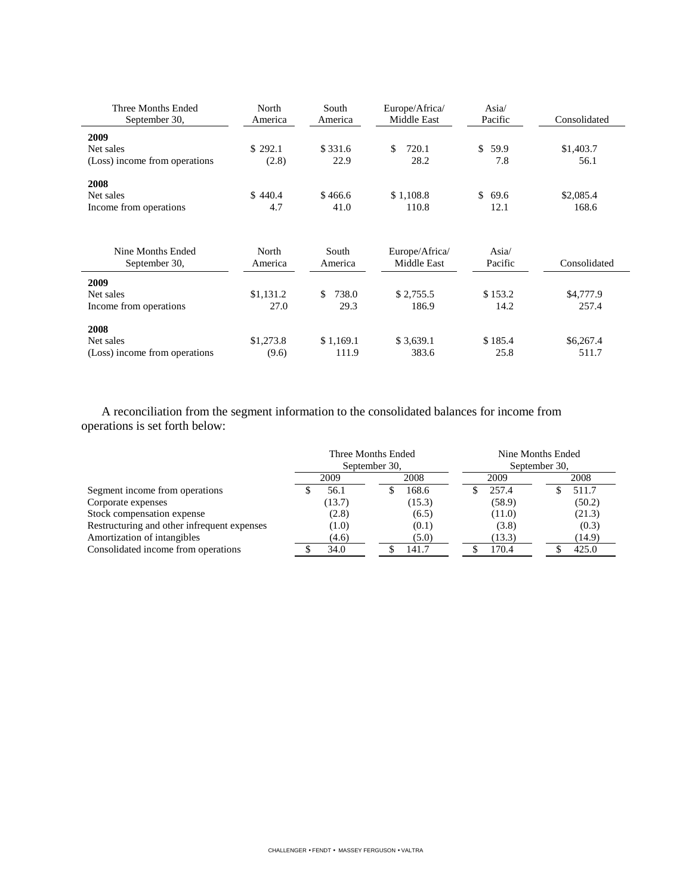| Three Months Ended<br>September 30, | North<br>America | South<br>America | Europe/Africa/<br>Middle East | Asia/<br>Pacific           | Consolidated |
|-------------------------------------|------------------|------------------|-------------------------------|----------------------------|--------------|
| 2009                                |                  |                  |                               |                            |              |
| Net sales                           | \$292.1          | \$331.6          | 720.1<br>\$.                  | \$<br>59.9                 | \$1,403.7    |
| (Loss) income from operations       | (2.8)            | 22.9             | 28.2                          | 7.8                        | 56.1         |
| 2008                                |                  |                  |                               |                            |              |
| Net sales                           | \$440.4          | \$466.6          | \$1,108.8                     | \$<br>69.6                 | \$2,085.4    |
| Income from operations              | 4.7              | 41.0             | 110.8                         | 12.1                       | 168.6        |
|                                     |                  |                  |                               |                            |              |
| Nine Months Ended<br>September 30,  | North<br>America | South<br>America | Europe/Africa/<br>Middle East | Asia $\sqrt{ }$<br>Pacific | Consolidated |
| 2009                                |                  |                  |                               |                            |              |
| Net sales                           | \$1,131.2        | 738.0<br>\$.     | \$2,755.5                     | \$153.2                    | \$4,777.9    |
| Income from operations              | 27.0             | 29.3             | 186.9                         | 14.2                       | 257.4        |
| 2008                                |                  |                  |                               |                            |              |
| Net sales                           | \$1,273.8        | \$1,169.1        | \$3,639.1                     | \$185.4                    | \$6,267.4    |
| (Loss) income from operations       | (9.6)            | 111.9            | 383.6                         | 25.8                       | 511.7        |

A reconciliation from the segment information to the consolidated balances for income from operations is set forth below:

|                                             | Three Months Ended<br>September 30, |        |      | Nine Months Ended<br>September 30, |  |        |  |        |
|---------------------------------------------|-------------------------------------|--------|------|------------------------------------|--|--------|--|--------|
|                                             | 2008<br>2009                        |        | 2009 |                                    |  | 2008   |  |        |
| Segment income from operations              |                                     | 56.1   |      | 168.6                              |  | 257.4  |  | 511.7  |
| Corporate expenses                          |                                     | (13.7) |      | (15.3)                             |  | (58.9) |  | (50.2) |
| Stock compensation expense                  |                                     | (2.8)  |      | (6.5)                              |  | (11.0) |  | (21.3) |
| Restructuring and other infrequent expenses |                                     | (1.0)  |      | (0.1)                              |  | (3.8)  |  | (0.3)  |
| Amortization of intangibles                 |                                     | (4.6)  |      | (5.0)                              |  | (13.3) |  | (14.9) |
| Consolidated income from operations         |                                     | 34.0   |      | 141.7                              |  | 170.4  |  | 425.0  |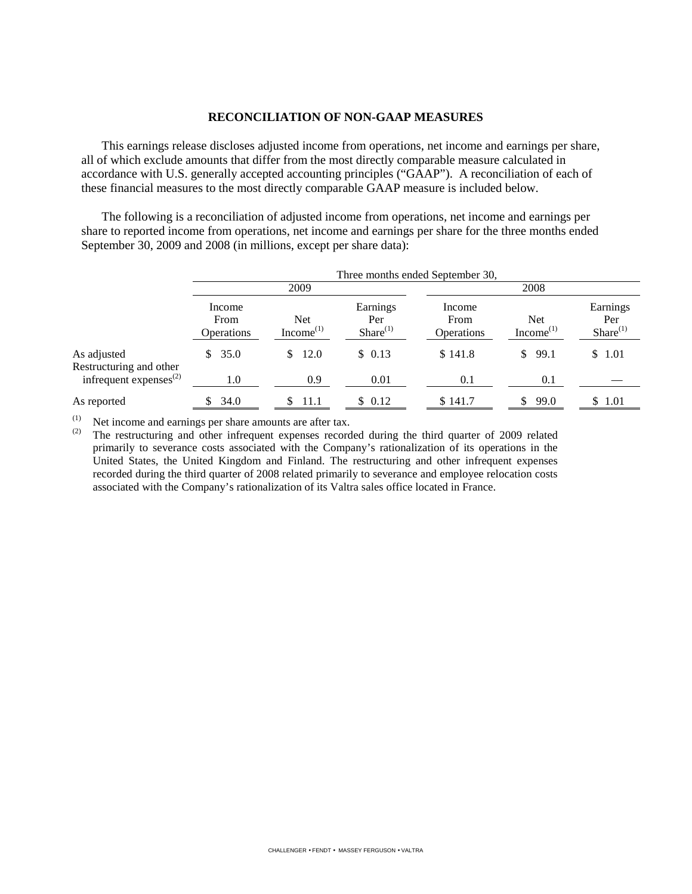#### **RECONCILIATION OF NON-GAAP MEASURES**

This earnings release discloses adjusted income from operations, net income and earnings per share, all of which exclude amounts that differ from the most directly comparable measure calculated in accordance with U.S. generally accepted accounting principles ("GAAP"). A reconciliation of each of these financial measures to the most directly comparable GAAP measure is included below.

The following is a reconciliation of adjusted income from operations, net income and earnings per share to reported income from operations, net income and earnings per share for the three months ended September 30, 2009 and 2008 (in millions, except per share data):

|                                        | Three months ended September 30,    |                              |                                  |                              |                                     |                                  |  |  |
|----------------------------------------|-------------------------------------|------------------------------|----------------------------------|------------------------------|-------------------------------------|----------------------------------|--|--|
|                                        | 2009                                |                              |                                  | 2008                         |                                     |                                  |  |  |
|                                        | Income<br>From<br><b>Operations</b> | <b>Net</b><br>$Income^{(1)}$ | Earnings<br>Per<br>$Share^{(1)}$ | Income<br>From<br>Operations | <b>Net</b><br>Income <sup>(1)</sup> | Earnings<br>Per<br>$Share^{(1)}$ |  |  |
| As adjusted<br>Restructuring and other | \$35.0                              | 12.0<br>\$.                  | \$0.13                           | \$141.8                      | 99.1<br>\$                          | \$1.01                           |  |  |
| infrequent expenses $^{(2)}$           | 1.0                                 | 0.9                          | 0.01                             | 0.1                          | 0.1                                 |                                  |  |  |
| As reported                            | 34.0<br>S.                          | 11.1<br>S                    | \$ 0.12                          | \$141.7                      | 99.0<br>S.                          | \$ 1.01                          |  |  |

(1) Net income and earnings per share amounts are after tax.<br>(2) The restructuring and other infrequent expenses record

The restructuring and other infrequent expenses recorded during the third quarter of 2009 related primarily to severance costs associated with the Company's rationalization of its operations in the United States, the United Kingdom and Finland. The restructuring and other infrequent expenses recorded during the third quarter of 2008 related primarily to severance and employee relocation costs associated with the Company's rationalization of its Valtra sales office located in France.